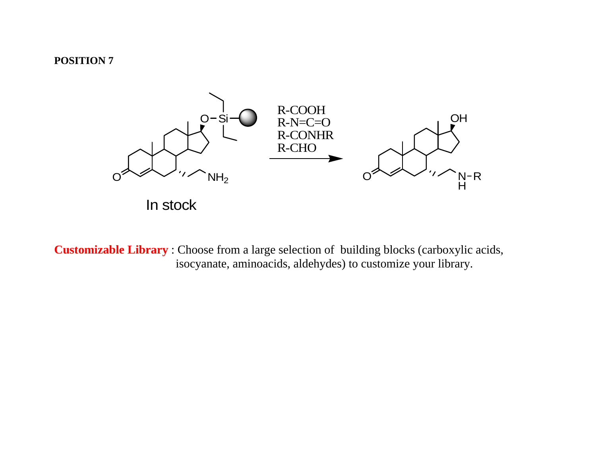## **POSITION 7**



**Customizable Library** : Choose from a large selection of building blocks (carboxylic acids, isocyanate, aminoacids, aldehydes) to customize your library.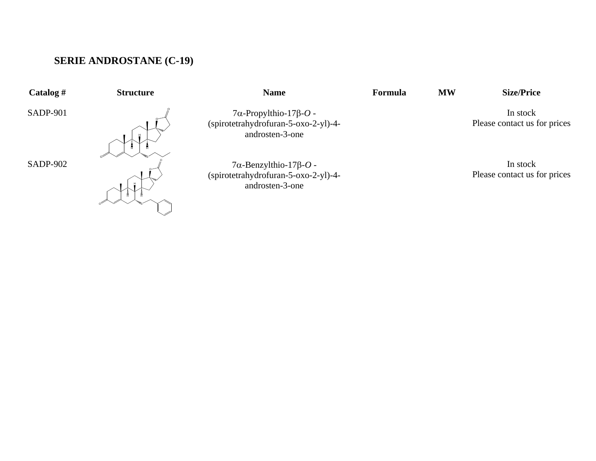## **SERIE ANDROSTANE (C-19)**

**Catalog # Structure Name Formula MW Size/Price** 

SADP-901

SADP-902



 $7\alpha$ -Propylthio-17 $\beta$ -*O* -(spirotetrahydrofuran-5-oxo-2-yl)-4 androsten-3-one

 $7\alpha$ -Benzylthio-17 $\beta$ -*O* -(spirotetrahydrofuran-5-oxo-2-yl)-4 androsten-3-one

In stock Please contact us for prices

In stock Please contact us for prices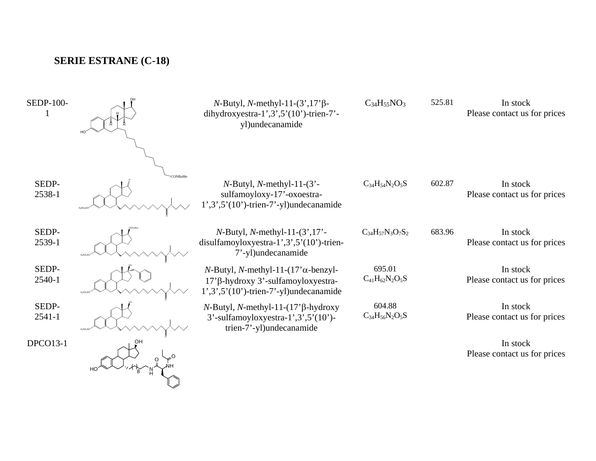## **SERIE ESTRANE (C-18)**

| <b>SEDP-100-</b>    | $N$ -Butyl, N-methyl-11- $(3', 17'$ $\beta$ -<br>dihydroxyestra-1',3',5'(10')-trien-7'-<br>yl)undecanamide                          | $C_{34}H_{55}NO_3$              | 525.81 | In stock<br>Please contact us for prices |
|---------------------|-------------------------------------------------------------------------------------------------------------------------------------|---------------------------------|--------|------------------------------------------|
| SEDP-<br>2538-1     | $N$ -Butyl, $N$ -methyl-11- $(3)$ -<br>sulfamoyloxy-17'-oxoestra-<br>$1', 3', 5'(10')$ -trien-7'-yl)undecanamide                    | $C_{34}H_{54}N_2O_5S$           | 602.87 | In stock<br>Please contact us for prices |
| SEDP-<br>2539-1     | $N$ -Butyl, $N$ -methyl-11- $(3', 17'$ -<br>disulfamoyloxyestra-1',3',5'(10')-trien-<br>7'-yl)undecanamide                          | $C_{34}H_{57}N_3O_7S_2$         | 683.96 | In stock<br>Please contact us for prices |
| SEDP-<br>2540-1     | $N$ -Butyl, N-methyl-11-(17' $\alpha$ -benzyl-<br>17'β-hydroxy 3'-sulfamoyloxyestra-<br>$1', 3', 5'(10')$ -trien-7'-yl)undecanamide | 695.01<br>$C_{41}H_{62}N_2O_5S$ |        | In stock<br>Please contact us for prices |
| SEDP-<br>$2541 - 1$ | $N$ -Butyl, N-methyl-11-(17' $\beta$ -hydroxy<br>$3'$ -sulfamoyloxyestra-1', $3'$ , $5'(10')$ -<br>trien-7'-yl)undecanamide         | 604.88<br>$C_{34}H_{56}N_2O_5S$ |        | In stock<br>Please contact us for prices |
| <b>DPCO13-1</b>     |                                                                                                                                     |                                 |        | In stock<br>Please contact us for prices |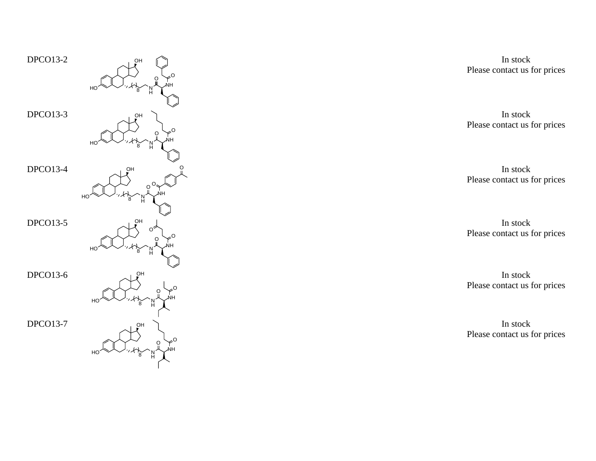

In stock Please contact us for prices

In stock Please contact us for prices

In stock Please contact us for prices

In stock Please contact us for prices

In stock Please contact us for prices

In stock Please contact us for prices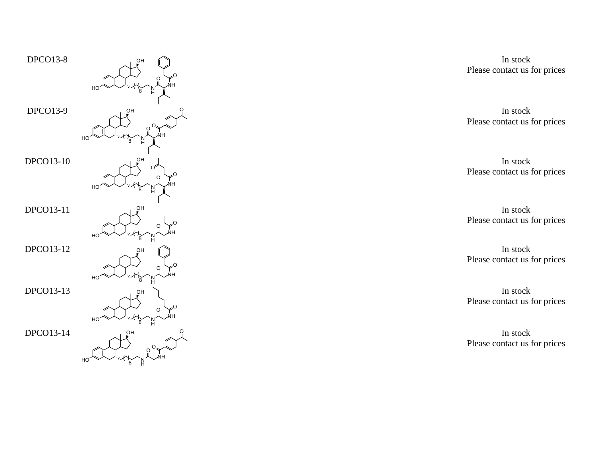

In stock Please contact us for prices

In stock Please contact us for prices

In stock Please contact us for prices

In stock Please contact us for prices

In stock Please contact us for prices

In stock Please contact us for prices

In stock Please contact us for prices